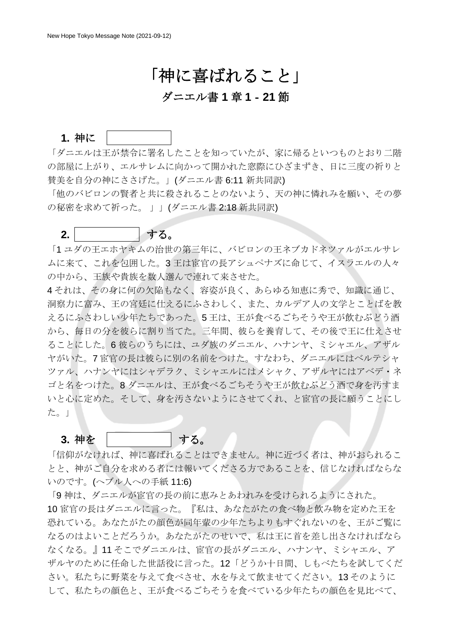# 「神に喜ばれること」

#### ダニエル書 **1** 章 **1**‐**21** 節

#### 1. 神に

「ダニエルは王が禁令に署名したことを知っていたが、家に帰るといつものとおり二階 の部屋に上がり、エルサレムに向かって開かれた窓際にひざまずき、日に三度の祈りと 賛美を自分の神にささげた。」(ダニエル書 6:11 新共同訳)

「他のバビロンの賢者と共に殺されることのないよう、天の神に憐れみを願い、その夢 の秘密を求めて祈った。 」」(ダニエル書 2:18 新共同訳)

#### **2.** 決 心 する。

「1 ユダの王エホヤキムの治世の第三年に、バビロンの王ネブカドネツァルがエルサレ ムに来て、これを包囲した。3 王は宦官の長アシュペナズに命じて、イスラエルの人々 の中から、王族や貴族を数人選んで連れて来させた。

4 それは、その身に何の欠陥もなく、容姿が良く、あらゆる知恵に秀で、知識に通じ、 洞察力に富み、王の宮廷に仕えるにふさわしく、また、カルデア人の文学とことばを教 えるにふさわしい少年たちであった。5 王は、王が食べるごちそうや王が飲むぶどう酒 から、毎日の分を彼らに割り当てた。三年間、彼らを養育して、その後で王に仕えさせ ることにした。6 彼らのうちには、ユダ族のダニエル、ハナンヤ、ミシャエル、アザル ヤがいた。7 宦官の長は彼らに別の名前をつけた。すなわち、ダニエルにはベルテシャ ツァル、ハナンヤにはシャデラク、ミシャエルにはメシャク、アザルヤにはアベデ・ネ ゴと名をつけた。8 ダニエルは、王が食べるごちそうや王が飲むぶどう酒で身を汚すま いと心に定めた。そして、身を汚さないようにさせてくれ、と宦官の長に願うことにし た。」

#### **3.** 神を | する。

「信仰がなければ、神に喜ばれることはできません。神に近づく者は、神がおられるこ とと、神がご自分を求める者には報いてくださる方であることを、信じなければならな いのです。(へブル人への手紙 11:6)

「9神は、ダニエルが宦官の長の前に恵みとあわれみを受けられるようにされた。 10 宦官の長はダニエルに言った。『私は、あなたがたの食べ物と飲み物を定めた王を 恐れている。あなたがたの顔色が同年輩の少年たちよりもすぐれないのを、王がご覧に なるのはよいことだろうか。あなたがたのせいで、私は王に首を差し出さなければなら なくなる。』11 そこでダニエルは、宦官の長がダニエル、ハナンヤ、ミシャエル、ア ザルヤのために任命した世話役に言った。12「どうか十日間、しもべたちを試してくだ さい。私たちに野菜を与えて食べさせ、水を与えて飲ませてください。13 そのように して、私たちの顔色と、王が食べるごちそうを食べている少年たちの顔色を見比べて、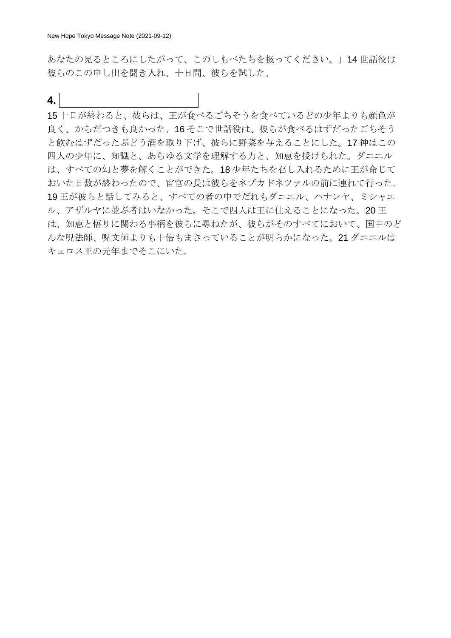あなたの見るところにしたがって、このしもべたちを扱ってください。」14 世話役は 彼らのこの申し出を聞き入れ、十日間、彼らを試した。

**4.**  $|$ 

15 十日が終わると、彼らは、王が食べるごちそうを食べているどの少年よりも顔色が 良く、からだつきも良かった。16 そこで世話役は、彼らが食べるはずだったごちそう と飲むはずだったぶどう酒を取り下げ、彼らに野菜を与えることにした。17 神はこの 四人の少年に、知識と、あらゆる文学を理解する力と、知恵を授けられた。ダニエル は、すべての幻と夢を解くことができた。18 少年たちを召し入れるために王が命じて おいた日数が終わったので、宦官の長は彼らをネブカドネツァルの前に連れて行った。 19 王が彼らと話してみると、すべての者の中でだれもダニエル、ハナンヤ、ミシャエ ル、アザルヤに並ぶ者はいなかった。そこで四人は王に仕えることになった。20 王 は、知恵と悟りに関わる事柄を彼らに尋ねたが、彼らがそのすべてにおいて、国中のど んな呪法師、呪文師よりも十倍もまさっていることが明らかになった。21 ダニエルは キュロス王の元年までそこにいた。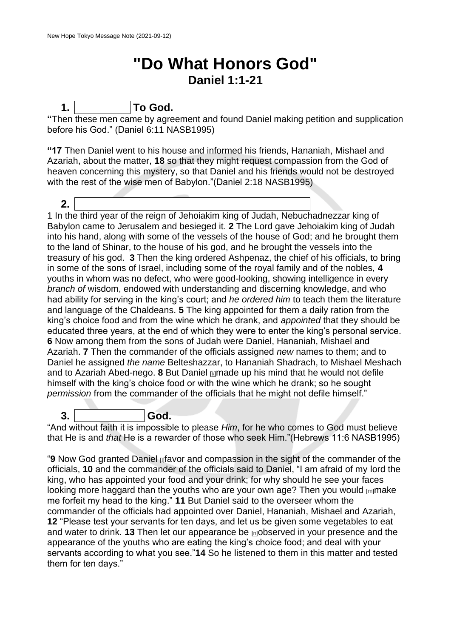## **"Do What Honors God" Daniel 1:1-21**

**1. P r a y To God.**

**"**Then these men came by agreement and found Daniel making petition and supplication before his God." (Daniel 6:11 NASB1995)

**"17** Then Daniel went to his house and informed his friends, Hananiah, Mishael and Azariah, about the matter, **18** so that they might request compassion from the God of heaven concerning this mystery, so that Daniel and his friends would not be destroyed with the rest of the wise men of Babylon."(Daniel 2:18 NASB1995)

**2. Resolve To What Honors God** 1 In the third year of the reign of Jehoiakim king of Judah, Nebuchadnezzar king of Babylon came to Jerusalem and besieged it. **2** The Lord gave Jehoiakim king of Judah into his hand, along with some of the vessels of the house of God; and he brought them to the land of Shinar, to the house of his god, and he brought the vessels into the treasury of his god. **3** Then the king ordered Ashpenaz, the chief of his officials, to bring in some of the sons of Israel, including some of the royal family and of the nobles, **4**  youths in whom was no defect, who were good-looking, showing intelligence in every *branch of* wisdom, endowed with understanding and discerning knowledge, and who had ability for serving in the king's court; and *he ordered him* to teach them the literature and language of the Chaldeans. **5** The king appointed for them a daily ration from the king's choice food and from the wine which he drank, and *appointed* that they should be educated three years, at the end of which they were to enter the king's personal service. **6** Now among them from the sons of Judah were Daniel, Hananiah, Mishael and Azariah. **7** Then the commander of the officials assigned *new* names to them; and to Daniel he assigned *the name* Belteshazzar, to Hananiah Shadrach, to Mishael Meshach and to Azariah Abed-nego. **8** But Daniel [\[k\]](https://www.biblegateway.com/passage/?search=Daniel+1&version=NASB1995#fen-NASB1995-21746k)made up his mind that he would not defile himself with the king's choice food or with the wine which he drank; so he sought *permission* from the commander of the officials that he might not defile himself."

**3. T r u s t God.** "And without faith it is impossible to please *Him*, for he who comes to God must believe that He is and *that* He is a rewarder of those who seek Him."(Hebrews 11:6 NASB1995)

"**9** Now God granted Daniel [\[l\]](https://www.biblegateway.com/passage/?search=Daniel+1&version=NASB1995#fen-NASB1995-21747l)favor and compassion in the sight of the commander of the officials, **10** and the commander of the officials said to Daniel, "I am afraid of my lord the king, who has appointed your food and your drink; for why should he see your faces looking more haggard than the youths who are your own age? Then you would  $_{\text{m}}$ make me forfeit my head to the king." **11** But Daniel said to the overseer whom the commander of the officials had appointed over Daniel, Hananiah, Mishael and Azariah, **12** "Please test your servants for ten days, and let us be given some vegetables to eat and water to drink. **13** Then let our appearance be **n**observed in your presence and the appearance of the youths who are eating the king's choice food; and deal with your servants according to what you see."**14** So he listened to them in this matter and tested them for ten days."